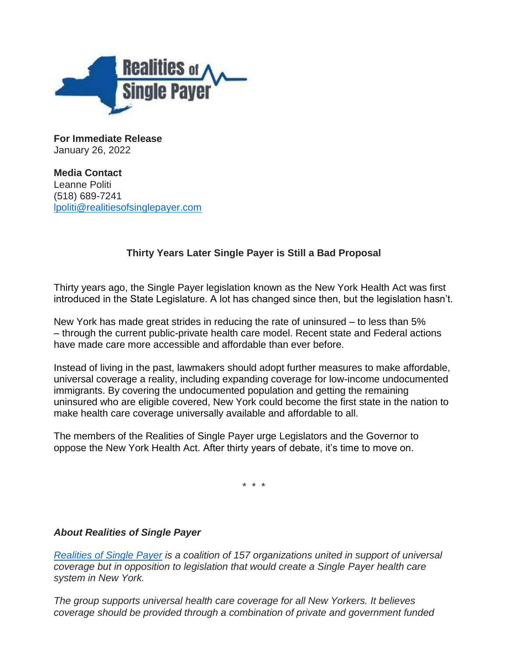

**For Immediate Release** January 26, 2022

**Media Contact** Leanne Politi (518) 689-7241 [lpoliti@realitiesofsinglepayer.com](mailto:lpoliti@realitiesofsinglepayer.com)

## **Thirty Years Later Single Payer is Still a Bad Proposal**

Thirty years ago, the Single Payer legislation known as the New York Health Act was first introduced in the State Legislature. A lot has changed since then, but the legislation hasn't.

New York has made great strides in reducing the rate of uninsured – to less than 5% – through the current public-private health care model. Recent state and Federal actions have made care more accessible and affordable than ever before.

Instead of living in the past, lawmakers should adopt further measures to make affordable, universal coverage a reality, including expanding coverage for low-income undocumented immigrants. By covering the undocumented population and getting the remaining uninsured who are eligible covered, New York could become the first state in the nation to make health care coverage universally available and affordable to all.

The members of the Realities of Single Payer urge Legislators and the Governor to oppose the New York Health Act. After thirty years of debate, it's time to move on.

\* \* \*

## *About Realities of Single Payer*

*[Realities of Single Payer](https://realitiesofsinglepayer.com/) is a coalition of 157 organizations united in support of universal coverage but in opposition to legislation that would create a Single Payer health care system in New York.*

*The group supports universal health care coverage for all New Yorkers. It believes coverage should be provided through a combination of private and government funded*